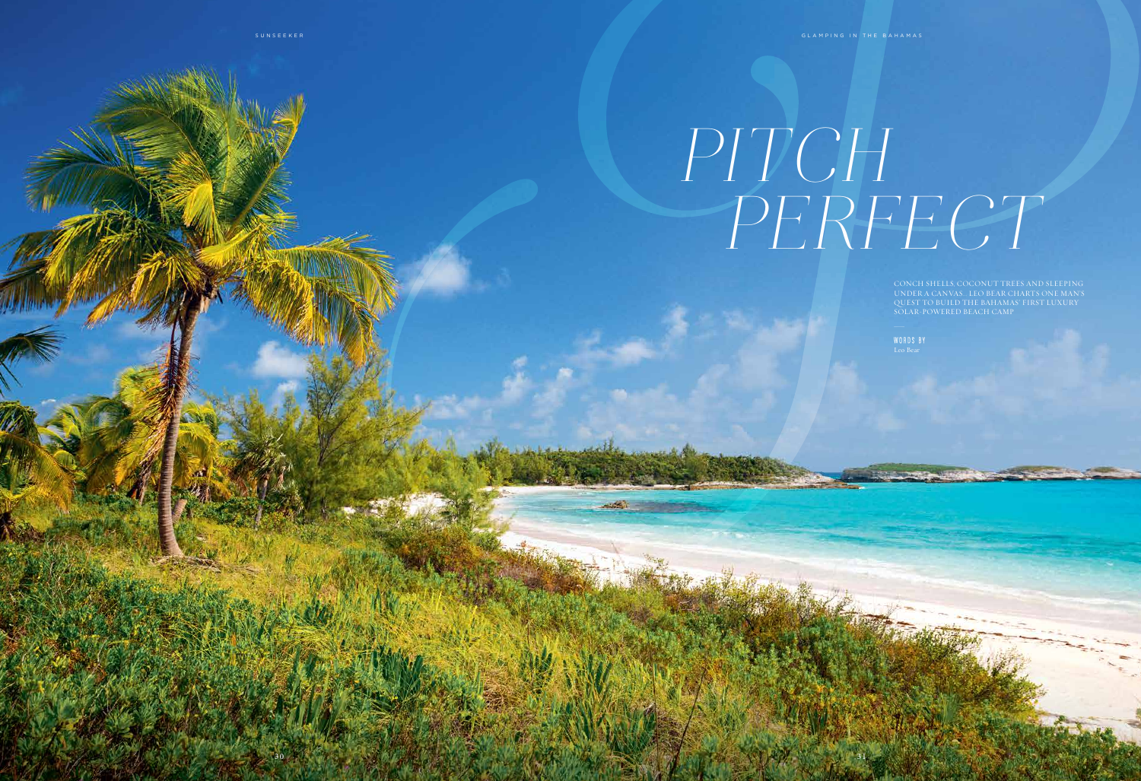

## PERFECT PITCH

CONCH SHELLS, COCONUT TREES AND SLEEPING UNDER A CANVAS… LEO BEAR CHARTS ONE MAN'S QUEST TO BUILD THE BAHAMAS' FIRST LUXURY SOLAR-POWERED BEACH CAMP \_

WORDS BY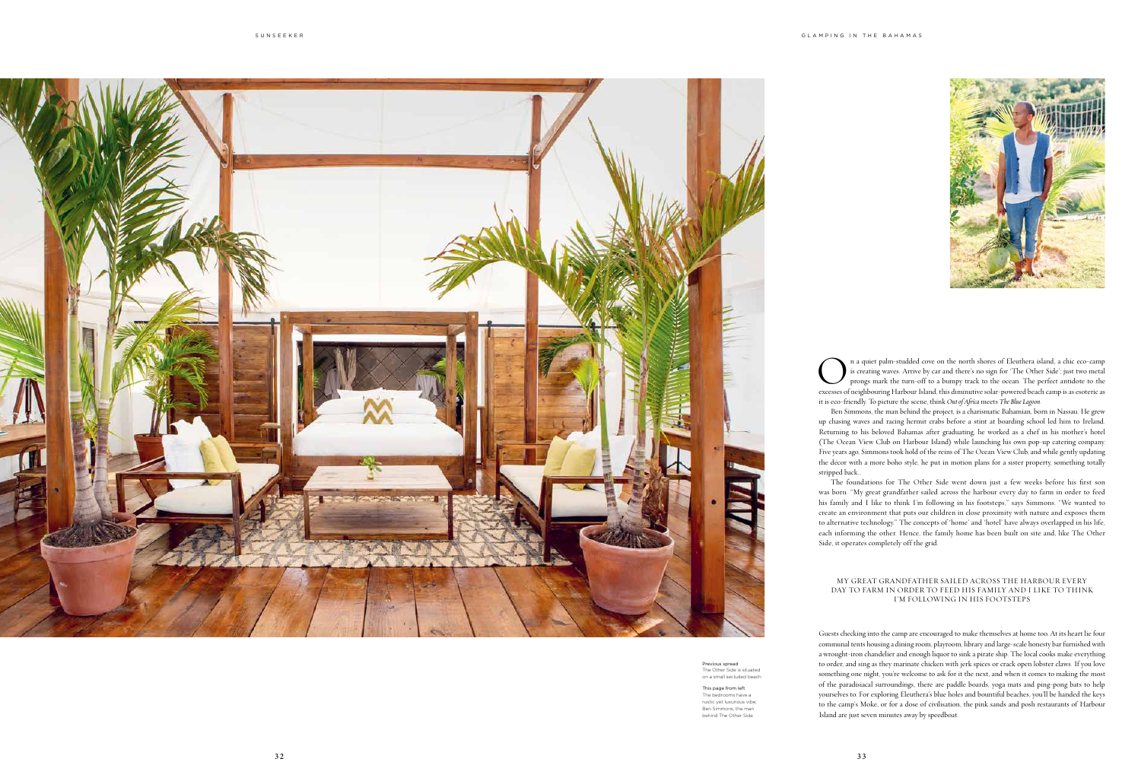

Previous spread The Other Side is situated on a small secluded beach

This page from left The bedrooms have a rustic yet luxurious vibe; Ben Simmons, the man behind The Other Side

**On a** quiet palm-studded cove on the north shores of Eleuthera island, a chic eco-camp is creating waves. Arrive by car and there's no sign for 'The Other Side'; just two metal prongs mark the turn-off to a bumpy track to is creating waves. Arrive by car and there's no sign for 'The Other Side'; just two metal prongs mark the turn-off to a bumpy track to the ocean. The perfect antidote to the it is eco-friendly. To picture the scene, think *Out of Africa* meets *The Blue Lagoon*.

Ben Simmons, the man behind the project, is a charismatic Bahamian, born in Nassau. He grew up chasing waves and racing hermit crabs before a stint at boarding school led him to Ireland. Returning to his beloved Bahamas after graduating, he worked as a chef in his mother's hotel (The Ocean View Club on Harbour Island) while launching his own pop-up catering company. Five years ago, Simmons took hold of the reins of The Ocean View Club, and while gently updating the décor with a more boho style, he put in motion plans for a sister property, something totally stripped back…

The foundations for The Other Side went down just a few weeks before his first son was born. "My great grandfather sailed across the harbour every day to farm in order to feed his family and I like to think I'm following in his footsteps," says Simmons. "We wanted to create an environment that puts our children in close proximity with nature and exposes them to alternative technology." The concepts of 'home' and 'hotel' have always overlapped in his life, each informing the other. Hence, the family home has been built on site and, like The Other Side, it operates completely off the grid.

Guests checking into the camp are encouraged to make themselves at home too. At its heart lie four communal tents housing a dining room, playroom, library and large-scale honesty bar furnished with a wrought-iron chandelier and enough liquor to sink a pirate ship. The local cooks make everything to order, and sing as they marinate chicken with jerk spices or crack open lobster claws. If you love something one night, you're welcome to ask for it the next, and when it comes to making the most of the paradisiacal surroundings, there are paddle boards, yoga mats and ping-pong bats to help yourselves to. For exploring Eleuthera's blue holes and bountiful beaches, you'll be handed the keys to the camp's Moke, or for a dose of civilisation, the pink sands and posh restaurants of Harbour Island are just seven minutes away by speedboat.

## MY GREAT GRANDFATHER SAILED ACROSS THE HARBOUR EVERY DAY TO FARM IN ORDER TO FEED HIS FAMILY AND I LIKE TO THINK I'M FOLLOWING IN HIS FOOTSTEPS